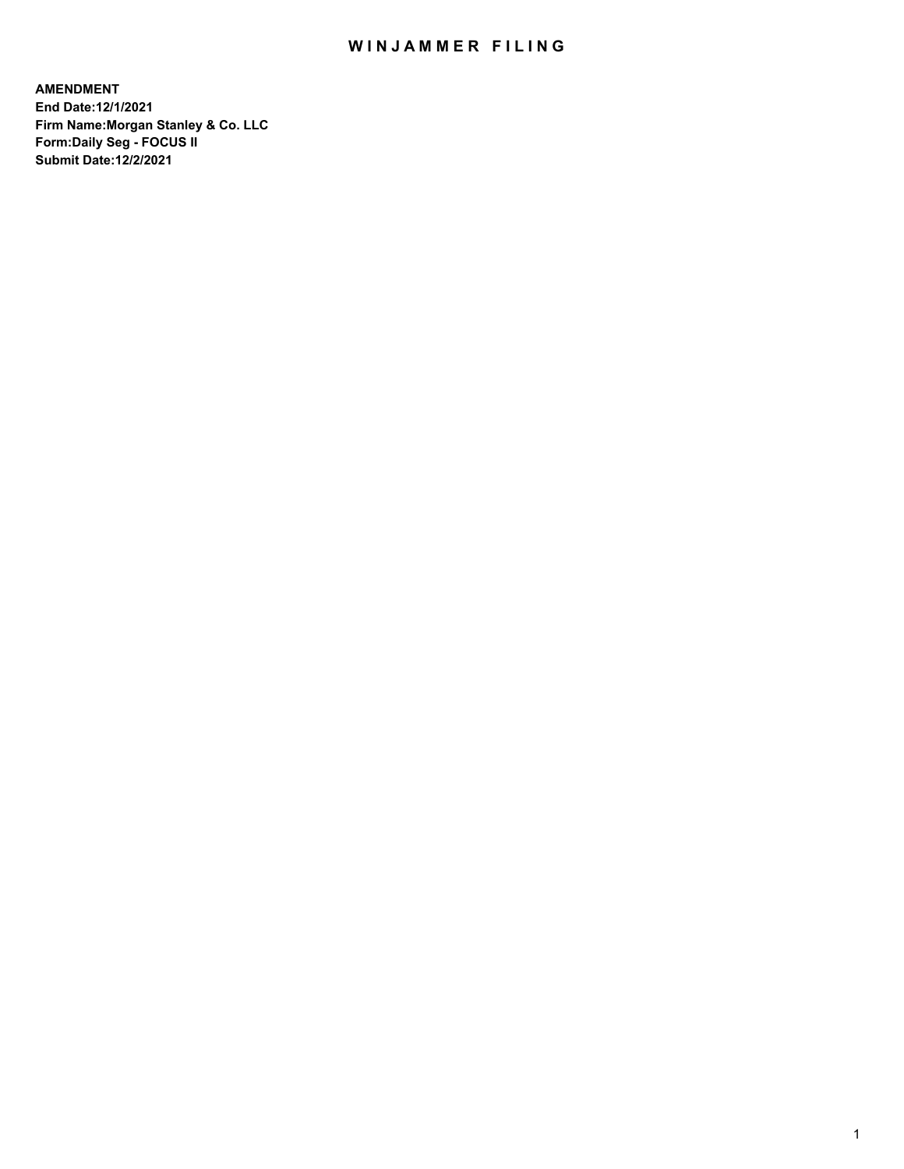## WIN JAMMER FILING

**AMENDMENT End Date:12/1/2021 Firm Name:Morgan Stanley & Co. LLC Form:Daily Seg - FOCUS II Submit Date:12/2/2021**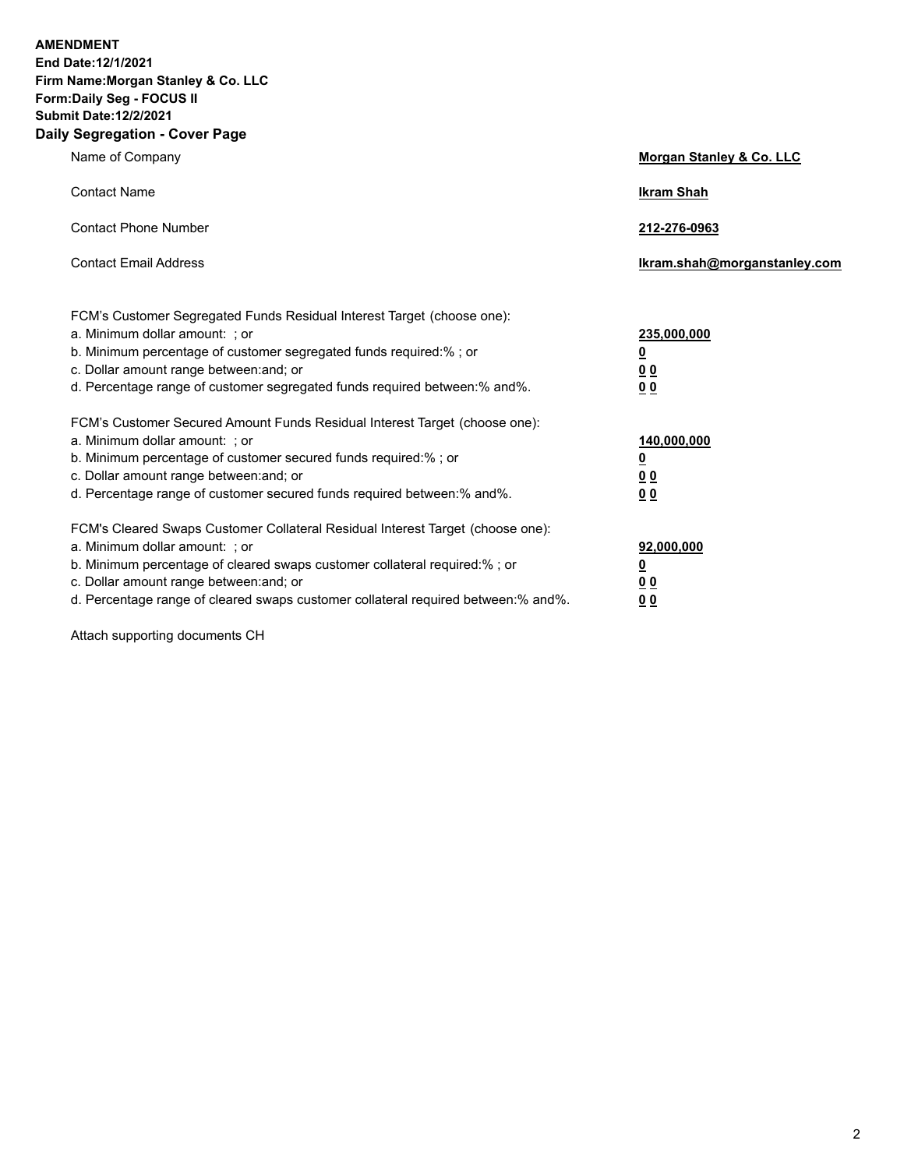**AMENDMENT** 

**End Date:12/1/2021 Firm Name:Morgan Stanley & Co. LLC Form:Daily Seg - FOCUS II Submit Date:12/2/2021 Daily Segregation - Cover Page**

| Name of Company                                                                                                                                                                                                                                                                                                                | Morgan Stanley & Co. LLC                               |
|--------------------------------------------------------------------------------------------------------------------------------------------------------------------------------------------------------------------------------------------------------------------------------------------------------------------------------|--------------------------------------------------------|
| <b>Contact Name</b>                                                                                                                                                                                                                                                                                                            | <b>Ikram Shah</b>                                      |
| <b>Contact Phone Number</b>                                                                                                                                                                                                                                                                                                    | 212-276-0963                                           |
| <b>Contact Email Address</b>                                                                                                                                                                                                                                                                                                   | lkram.shah@morganstanley.com                           |
| FCM's Customer Segregated Funds Residual Interest Target (choose one):<br>a. Minimum dollar amount: ; or<br>b. Minimum percentage of customer segregated funds required:%; or<br>c. Dollar amount range between: and; or                                                                                                       | 235,000,000<br><u>0</u><br>0 <sub>0</sub>              |
| d. Percentage range of customer segregated funds required between:% and%.                                                                                                                                                                                                                                                      | 00                                                     |
| FCM's Customer Secured Amount Funds Residual Interest Target (choose one):<br>a. Minimum dollar amount: ; or<br>b. Minimum percentage of customer secured funds required:% ; or<br>c. Dollar amount range between: and; or<br>d. Percentage range of customer secured funds required between:% and%.                           | 140,000,000<br><u>0</u><br><u>00</u><br>00             |
| FCM's Cleared Swaps Customer Collateral Residual Interest Target (choose one):<br>a. Minimum dollar amount: ; or<br>b. Minimum percentage of cleared swaps customer collateral required:% ; or<br>c. Dollar amount range between: and; or<br>d. Percentage range of cleared swaps customer collateral required between:% and%. | 92,000,000<br><u>0</u><br><u>0 0</u><br>0 <sub>0</sub> |

Attach supporting documents CH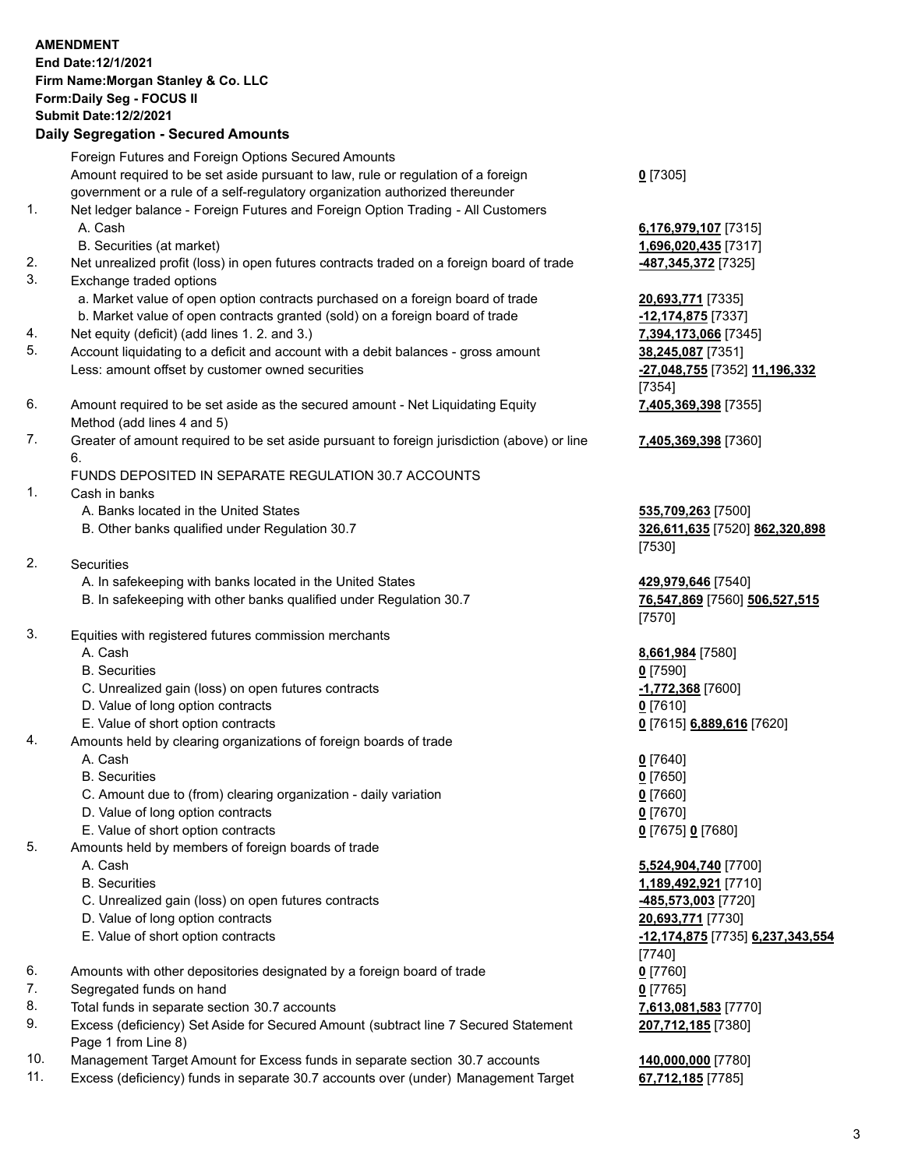## **AMENDMENT End Date:12/1/2021 Firm Name:Morgan Stanley & Co. LLC Form:Daily Seg - FOCUS II Submit Date:12/2/2021 Daily Segregation - Secured Amounts** Foreign Futures and Foreign Options Secured Amounts Amount required to be set aside pursuant to law, rule or regulation of a foreign government or a rule of a self-regulatory organization authorized thereunder **0** [7305] 1. Net ledger balance - Foreign Futures and Foreign Option Trading - All Customers A. Cash **6,176,979,107** [7315] B. Securities (at market) **1,696,020,435** [7317] 2. Net unrealized profit (loss) in open futures contracts traded on a foreign board of trade **-487,345,372** [7325] 3. Exchange traded options a. Market value of open option contracts purchased on a foreign board of trade **20,693,771** [7335] b. Market value of open contracts granted (sold) on a foreign board of trade **-12,174,875** [7337] 4. Net equity (deficit) (add lines 1. 2. and 3.) **7,394,173,066** [7345] 5. Account liquidating to a deficit and account with a debit balances - gross amount **38,245,087** [7351] Less: amount offset by customer owned securities **-27,048,755** [7352] **11,196,332** [7354] 6. Amount required to be set aside as the secured amount - Net Liquidating Equity Method (add lines 4 and 5) 7. Greater of amount required to be set aside pursuant to foreign jurisdiction (above) or line 6. FUNDS DEPOSITED IN SEPARATE REGULATION 30.7 ACCOUNTS 1. Cash in banks A. Banks located in the United States **535,709,263** [7500] B. Other banks qualified under Regulation 30.7 **326,611,635** [7520] **862,320,898** [7530] 2. Securities A. In safekeeping with banks located in the United States **429,979,646** [7540] B. In safekeeping with other banks qualified under Regulation 30.7 **76,547,869** [7560] **506,527,515** [7570] 3. Equities with registered futures commission merchants A. Cash **8,661,984** [7580] B. Securities **0** [7590] C. Unrealized gain (loss) on open futures contracts **-1,772,368** [7600] D. Value of long option contracts **0** [7610] E. Value of short option contracts **0** [7615] **6,889,616** [7620] 4. Amounts held by clearing organizations of foreign boards of trade A. Cash **0** [7640] B. Securities **0** [7650] C. Amount due to (from) clearing organization - daily variation **0** [7660] D. Value of long option contracts **0** [7670] E. Value of short option contracts **0** [7675] **0** [7680] 5. Amounts held by members of foreign boards of trade A. Cash **5,524,904,740** [7700]

- 
- 
- C. Unrealized gain (loss) on open futures contracts **-485,573,003** [7720]
- D. Value of long option contracts **20,693,771** [7730]
- 
- 6. Amounts with other depositories designated by a foreign board of trade **0** [7760]
- 7. Segregated funds on hand **0** [7765]
- 8. Total funds in separate section 30.7 accounts **7,613,081,583** [7770]
- 9. Excess (deficiency) Set Aside for Secured Amount (subtract line 7 Secured Statement Page 1 from Line 8)
- 10. Management Target Amount for Excess funds in separate section 30.7 accounts **140,000,000** [7780]
- 11. Excess (deficiency) funds in separate 30.7 accounts over (under) Management Target **67,712,185** [7785]

**7,405,369,398** [7355]

**7,405,369,398** [7360]

 B. Securities **1,189,492,921** [7710] E. Value of short option contracts **-12,174,875** [7735] **6,237,343,554** [7740] **207,712,185** [7380]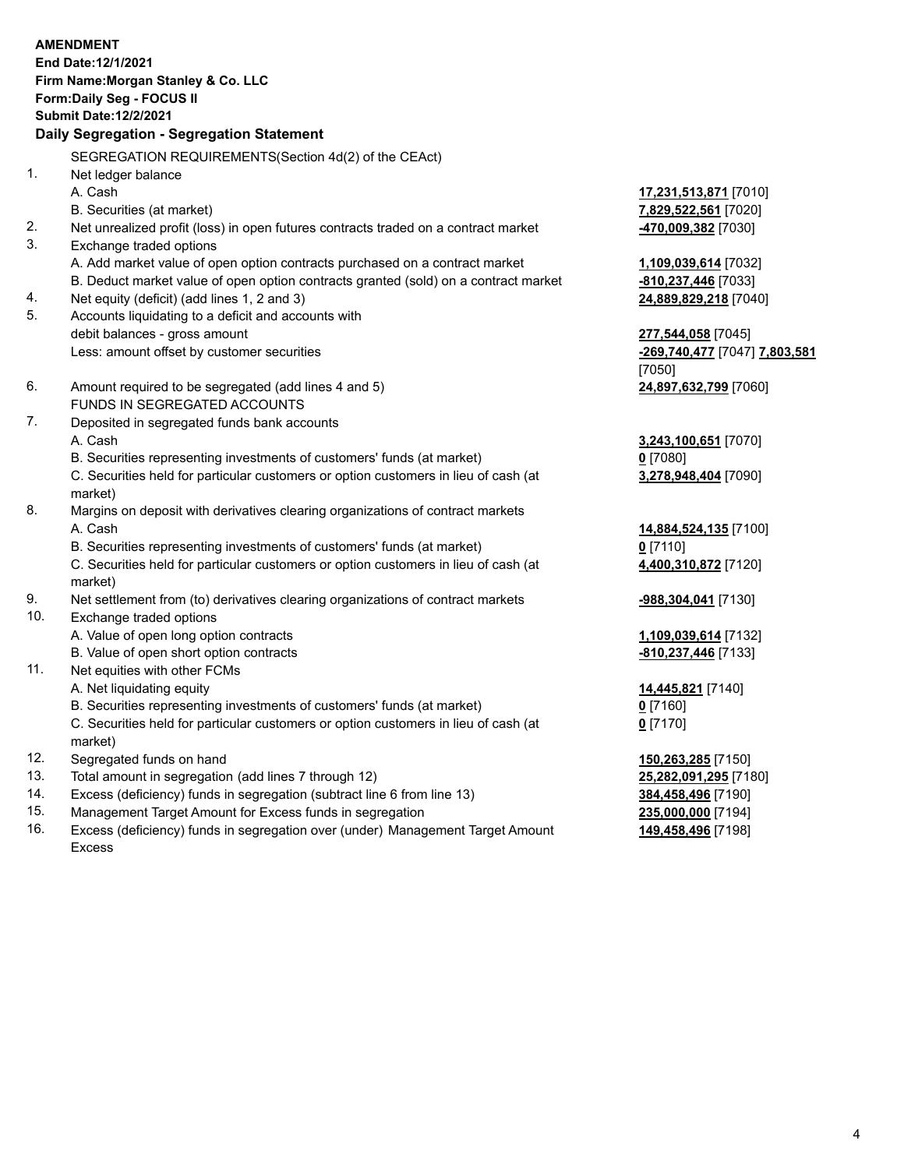|     | <b>AMENDMENT</b>                                                                                                                                              |                                      |
|-----|---------------------------------------------------------------------------------------------------------------------------------------------------------------|--------------------------------------|
|     | End Date: 12/1/2021                                                                                                                                           |                                      |
|     | Firm Name: Morgan Stanley & Co. LLC                                                                                                                           |                                      |
|     | Form: Daily Seg - FOCUS II                                                                                                                                    |                                      |
|     | <b>Submit Date: 12/2/2021</b>                                                                                                                                 |                                      |
|     | Daily Segregation - Segregation Statement                                                                                                                     |                                      |
|     | SEGREGATION REQUIREMENTS(Section 4d(2) of the CEAct)                                                                                                          |                                      |
| 1.  | Net ledger balance                                                                                                                                            |                                      |
|     | A. Cash                                                                                                                                                       | 17,231,513,871 [7010]                |
|     | B. Securities (at market)                                                                                                                                     | 7,829,522,561 [7020]                 |
| 2.  | Net unrealized profit (loss) in open futures contracts traded on a contract market                                                                            | -470,009,382 [7030]                  |
| 3.  | Exchange traded options                                                                                                                                       |                                      |
|     | A. Add market value of open option contracts purchased on a contract market                                                                                   | 1,109,039,614 [7032]                 |
|     | B. Deduct market value of open option contracts granted (sold) on a contract market                                                                           | -810,237,446 [7033]                  |
| 4.  | Net equity (deficit) (add lines 1, 2 and 3)                                                                                                                   | 24,889,829,218 [7040]                |
| 5.  | Accounts liquidating to a deficit and accounts with                                                                                                           |                                      |
|     | debit balances - gross amount                                                                                                                                 | 277,544,058 [7045]                   |
|     | Less: amount offset by customer securities                                                                                                                    | <u>-269,740,477</u> [7047] 7,803,581 |
|     |                                                                                                                                                               | [7050]                               |
| 6.  | Amount required to be segregated (add lines 4 and 5)                                                                                                          | 24,897,632,799 [7060]                |
|     | FUNDS IN SEGREGATED ACCOUNTS                                                                                                                                  |                                      |
| 7.  | Deposited in segregated funds bank accounts                                                                                                                   |                                      |
|     | A. Cash                                                                                                                                                       | 3,243,100,651 [7070]                 |
|     | B. Securities representing investments of customers' funds (at market)                                                                                        | $0$ [7080]                           |
|     | C. Securities held for particular customers or option customers in lieu of cash (at                                                                           | 3,278,948,404 [7090]                 |
| 8.  | market)                                                                                                                                                       |                                      |
|     | Margins on deposit with derivatives clearing organizations of contract markets<br>A. Cash                                                                     |                                      |
|     |                                                                                                                                                               | 14,884,524,135 [7100]                |
|     | B. Securities representing investments of customers' funds (at market)<br>C. Securities held for particular customers or option customers in lieu of cash (at | $0$ [7110]                           |
|     | market)                                                                                                                                                       | 4,400,310,872 [7120]                 |
| 9.  | Net settlement from (to) derivatives clearing organizations of contract markets                                                                               | <u>-988,304,041</u> [7130]           |
| 10. | Exchange traded options                                                                                                                                       |                                      |
|     | A. Value of open long option contracts                                                                                                                        | 1,109,039,614 [7132]                 |
|     | B. Value of open short option contracts                                                                                                                       | -810,237,446 [7133]                  |
| 11. | Net equities with other FCMs                                                                                                                                  |                                      |
|     | A. Net liquidating equity                                                                                                                                     | 14,445,821 [7140]                    |
|     | B. Securities representing investments of customers' funds (at market)                                                                                        | $0$ [7160]                           |
|     | C. Securities held for particular customers or option customers in lieu of cash (at<br>market)                                                                | $0$ [7170]                           |
| 12. | Segregated funds on hand                                                                                                                                      | 150,263,285 [7150]                   |
| 13. | Total amount in segregation (add lines 7 through 12)                                                                                                          | 25,282,091,295 [7180]                |
| 14. | Excess (deficiency) funds in segregation (subtract line 6 from line 13)                                                                                       | 384,458,496 [7190]                   |

- 
- 15. Management Target Amount for Excess funds in segregation<br>16. Excess (deficiency) funds in segregation over (under) Management Target Amount 149,458,496 [7198] Excess (deficiency) funds in segregation over (under) Management Target Amount Excess

**149,458,496** [7198]